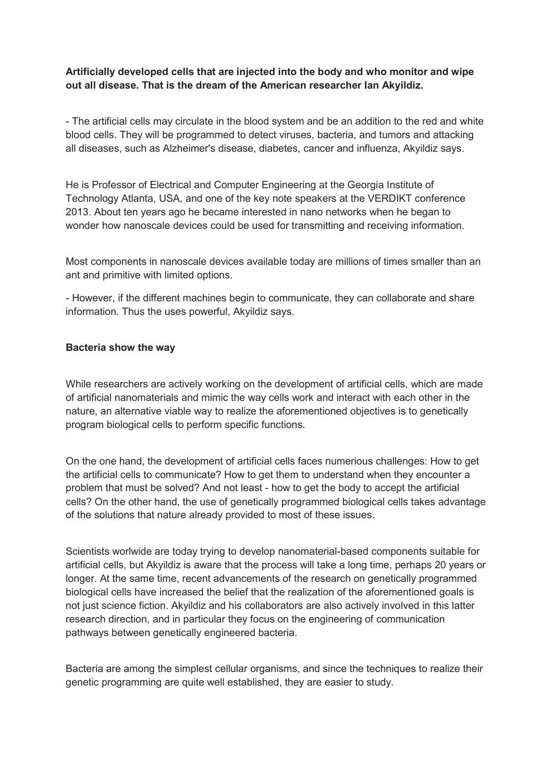## **Artificially developed cells that are injected into the body and who monitor and wipe out all disease. That is the dream of the American researcher Ian Akyildiz.**

- The artificial cells may circulate in the blood system and be an addition to the red and white blood cells. They will be programmed to detect viruses, bacteria, and tumors and attacking all diseases, such as Alzheimer's disease, diabetes, cancer and influenza, Akyildiz says.

He is Professor of Electrical and Computer Engineering at the Georgia Institute of Technology Atlanta, USA, and one of the key note speakers at the VERDIKT conference 2013. About ten years ago he became interested in nano networks when he began to wonder how nanoscale devices could be used for transmitting and receiving information.

Most components in nanoscale devices available today are millions of times smaller than an ant and primitive with limited options.

- However, if the different machines begin to communicate, they can collaborate and share information. Thus the uses powerful, Akyildiz says.

## **Bacteria show the way**

While researchers are actively working on the development of artificial cells, which are made of artificial nanomaterials and mimic the way cells work and interact with each other in the nature, an alternative viable way to realize the aforementioned objectives is to genetically program biological cells to perform specific functions.

On the one hand, the development of artificial cells faces numerious challenges: How to get the artificial cells to communicate? How to get them to understand when they encounter a problem that must be solved? And not least - how to get the body to accept the artificial cells? On the other hand, the use of genetically programmed biological cells takes advantage of the solutions that nature already provided to most of these issues.

Scientists worlwide are today trying to develop nanomaterial-based components suitable for artificial cells, but Akyildiz is aware that the process will take a long time, perhaps 20 years or longer. At the same time, recent advancements of the research on genetically programmed biological cells have increased the belief that the realization of the aforementioned goals is not just science fiction. Akyildiz and his collaborators are also actively involved in this latter research direction, and in particular they focus on the engineering of communication pathways between genetically engineered bacteria.

Bacteria are among the simplest cellular organisms, and since the techniques to realize their genetic programming are quite well established, they are easier to study.